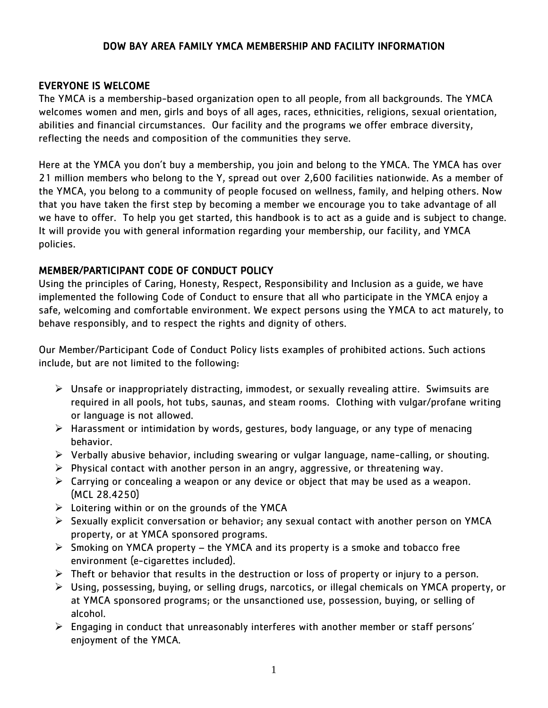### DOW BAY AREA FAMILY YMCA MEMBERSHIP AND FACILITY INFORMATION

#### EVERYONE IS WELCOME

The YMCA is a membership-based organization open to all people, from all backgrounds. The YMCA welcomes women and men, girls and boys of all ages, races, ethnicities, religions, sexual orientation, abilities and financial circumstances. Our facility and the programs we offer embrace diversity, reflecting the needs and composition of the communities they serve.

Here at the YMCA you don't buy a membership, you join and belong to the YMCA. The YMCA has over 21 million members who belong to the Y, spread out over 2,600 facilities nationwide. As a member of the YMCA, you belong to a community of people focused on wellness, family, and helping others. Now that you have taken the first step by becoming a member we encourage you to take advantage of all we have to offer. To help you get started, this handbook is to act as a guide and is subject to change. It will provide you with general information regarding your membership, our facility, and YMCA policies.

### MEMBER/PARTICIPANT CODE OF CONDUCT POLICY

Using the principles of Caring, Honesty, Respect, Responsibility and Inclusion as a guide, we have implemented the following Code of Conduct to ensure that all who participate in the YMCA enjoy a safe, welcoming and comfortable environment. We expect persons using the YMCA to act maturely, to behave responsibly, and to respect the rights and dignity of others.

Our Member/Participant Code of Conduct Policy lists examples of prohibited actions. Such actions include, but are not limited to the following:

- $\triangleright$  Unsafe or inappropriately distracting, immodest, or sexually revealing attire. Swimsuits are required in all pools, hot tubs, saunas, and steam rooms. Clothing with vulgar/profane writing or language is not allowed.
- $\triangleright$  Harassment or intimidation by words, gestures, body language, or any type of menacing behavior.
- $\triangleright$  Verbally abusive behavior, including swearing or vulgar language, name-calling, or shouting.
- $\triangleright$  Physical contact with another person in an angry, aggressive, or threatening way.
- $\triangleright$  Carrying or concealing a weapon or any device or object that may be used as a weapon. (MCL 28.4250)
- $\triangleright$  Loitering within or on the grounds of the YMCA
- $\triangleright$  Sexually explicit conversation or behavior; any sexual contact with another person on YMCA property, or at YMCA sponsored programs.
- $\triangleright$  Smoking on YMCA property the YMCA and its property is a smoke and tobacco free environment (e-cigarettes included).
- $\triangleright$  Theft or behavior that results in the destruction or loss of property or injury to a person.
- Using, possessing, buying, or selling drugs, narcotics, or illegal chemicals on YMCA property, or at YMCA sponsored programs; or the unsanctioned use, possession, buying, or selling of alcohol.
- Engaging in conduct that unreasonably interferes with another member or staff persons' enjoyment of the YMCA.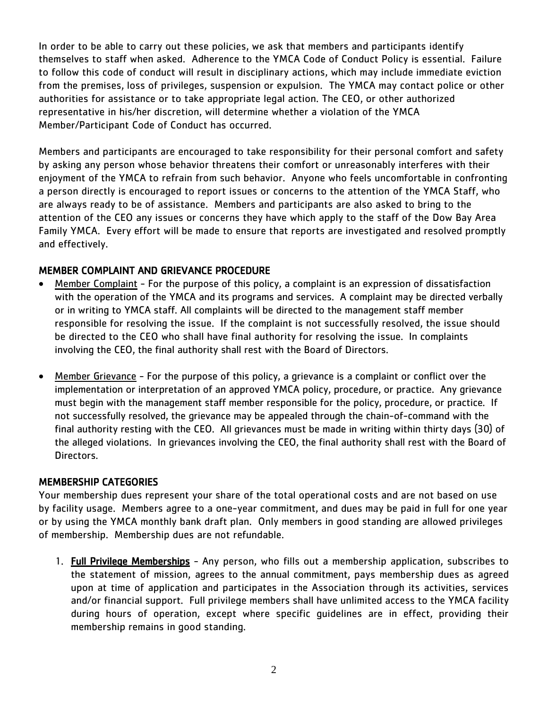In order to be able to carry out these policies, we ask that members and participants identify themselves to staff when asked. Adherence to the YMCA Code of Conduct Policy is essential. Failure to follow this code of conduct will result in disciplinary actions, which may include immediate eviction from the premises, loss of privileges, suspension or expulsion. The YMCA may contact police or other authorities for assistance or to take appropriate legal action. The CEO, or other authorized representative in his/her discretion, will determine whether a violation of the YMCA Member/Participant Code of Conduct has occurred.

Members and participants are encouraged to take responsibility for their personal comfort and safety by asking any person whose behavior threatens their comfort or unreasonably interferes with their enjoyment of the YMCA to refrain from such behavior. Anyone who feels uncomfortable in confronting a person directly is encouraged to report issues or concerns to the attention of the YMCA Staff, who are always ready to be of assistance. Members and participants are also asked to bring to the attention of the CEO any issues or concerns they have which apply to the staff of the Dow Bay Area Family YMCA. Every effort will be made to ensure that reports are investigated and resolved promptly and effectively.

### MEMBER COMPLAINT AND GRIEVANCE PROCEDURE

- Member Complaint For the purpose of this policy, a complaint is an expression of dissatisfaction with the operation of the YMCA and its programs and services. A complaint may be directed verbally or in writing to YMCA staff. All complaints will be directed to the management staff member responsible for resolving the issue. If the complaint is not successfully resolved, the issue should be directed to the CEO who shall have final authority for resolving the issue. In complaints involving the CEO, the final authority shall rest with the Board of Directors.
- Member Grievance For the purpose of this policy, a grievance is a complaint or conflict over the implementation or interpretation of an approved YMCA policy, procedure, or practice. Any grievance must begin with the management staff member responsible for the policy, procedure, or practice. If not successfully resolved, the grievance may be appealed through the chain-of-command with the final authority resting with the CEO. All grievances must be made in writing within thirty days (30) of the alleged violations. In grievances involving the CEO, the final authority shall rest with the Board of Directors.

### MEMBERSHIP CATEGORIES

Your membership dues represent your share of the total operational costs and are not based on use by facility usage. Members agree to a one-year commitment, and dues may be paid in full for one year or by using the YMCA monthly bank draft plan. Only members in good standing are allowed privileges of membership. Membership dues are not refundable.

1. Full Privilege Memberships - Any person, who fills out a membership application, subscribes to the statement of mission, agrees to the annual commitment, pays membership dues as agreed upon at time of application and participates in the Association through its activities, services and/or financial support. Full privilege members shall have unlimited access to the YMCA facility during hours of operation, except where specific guidelines are in effect, providing their membership remains in good standing.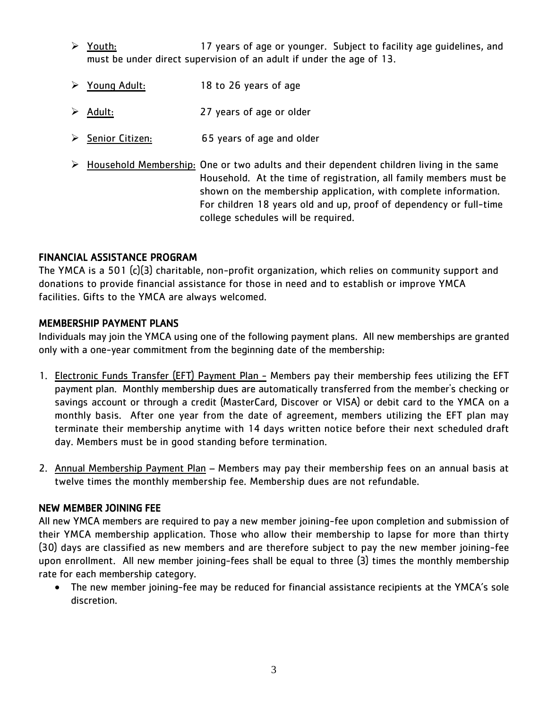- $\triangleright$  Youth:  $\triangleright$  Youth:  $\triangleright$  Youth:  $\triangleright$  17 years of age or younger. Subject to facility age guidelines, and must be under direct supervision of an adult if under the age of 13.
- Young Adult: 18 to 26 years of age
- Adult: 27 years of age or older
- $\geq$  Senior Citizen: 65 years of age and older
- $\triangleright$  Household Membership: One or two adults and their dependent children living in the same Household. At the time of registration, all family members must be shown on the membership application, with complete information. For children 18 years old and up, proof of dependency or full-time college schedules will be required.

## FINANCIAL ASSISTANCE PROGRAM

The YMCA is a 501 (c)(3) charitable, non-profit organization, which relies on community support and donations to provide financial assistance for those in need and to establish or improve YMCA facilities. Gifts to the YMCA are always welcomed.

# MEMBERSHIP PAYMENT PLANS

Individuals may join the YMCA using one of the following payment plans. All new memberships are granted only with a one-year commitment from the beginning date of the membership:

- 1. Electronic Funds Transfer (EFT) Payment Plan Members pay their membership fees utilizing the EFT payment plan. Monthly membership dues are automatically transferred from the member's checking or savings account or through a credit (MasterCard, Discover or VISA) or debit card to the YMCA on a monthly basis. After one year from the date of agreement, members utilizing the EFT plan may terminate their membership anytime with 14 days written notice before their next scheduled draft day. Members must be in good standing before termination.
- 2. Annual Membership Payment Plan Members may pay their membership fees on an annual basis at twelve times the monthly membership fee. Membership dues are not refundable.

## NEW MEMBER JOINING FEE

All new YMCA members are required to pay a new member joining-fee upon completion and submission of their YMCA membership application. Those who allow their membership to lapse for more than thirty (30) days are classified as new members and are therefore subject to pay the new member joining-fee upon enrollment. All new member joining-fees shall be equal to three (3) times the monthly membership rate for each membership category.

 The new member joining-fee may be reduced for financial assistance recipients at the YMCA's sole discretion.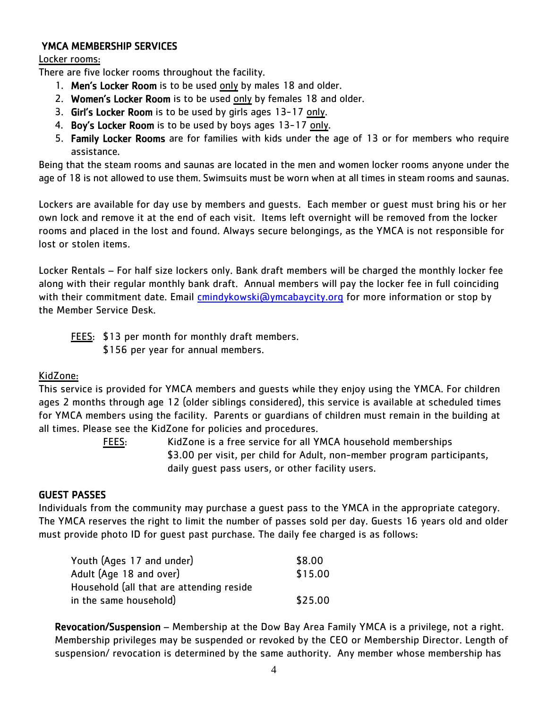### YMCA MEMBERSHIP SERVICES

### Locker rooms:

There are five locker rooms throughout the facility.

- 1. Men's Locker Room is to be used only by males 18 and older.
- 2. Women's Locker Room is to be used only by females 18 and older.
- 3. Girl's Locker Room is to be used by girls ages 13-17 only.
- 4. Boy's Locker Room is to be used by boys ages 13-17 only.
- 5. Family Locker Rooms are for families with kids under the age of 13 or for members who require assistance.

Being that the steam rooms and saunas are located in the men and women locker rooms anyone under the age of 18 is not allowed to use them. Swimsuits must be worn when at all times in steam rooms and saunas.

Lockers are available for day use by members and guests. Each member or guest must bring his or her own lock and remove it at the end of each visit. Items left overnight will be removed from the locker rooms and placed in the lost and found. Always secure belongings, as the YMCA is not responsible for lost or stolen items.

Locker Rentals – For half size lockers only. Bank draft members will be charged the monthly locker fee along with their regular monthly bank draft. Annual members will pay the locker fee in full coinciding with their commitment date. Email [cmindykowski@ymcabaycity.org](mailto:cmindykowski@ymcabaycity.org) for more information or stop by the Member Service Desk.

FEES: \$13 per month for monthly draft members.

\$156 per year for annual members.

### KidZone:

This service is provided for YMCA members and guests while they enjoy using the YMCA. For children ages 2 months through age 12 (older siblings considered), this service is available at scheduled times for YMCA members using the facility. Parents or guardians of children must remain in the building at all times. Please see the KidZone for policies and procedures.

FEES: KidZone is a free service for all YMCA household memberships \$3.00 per visit, per child for Adult, non-member program participants, daily guest pass users, or other facility users.

### GUEST PASSES

Individuals from the community may purchase a guest pass to the YMCA in the appropriate category. The YMCA reserves the right to limit the number of passes sold per day. Guests 16 years old and older must provide photo ID for guest past purchase. The daily fee charged is as follows:

| Youth (Ages 17 and under)                | \$8.00  |
|------------------------------------------|---------|
| Adult (Age 18 and over)                  | \$15.00 |
| Household (all that are attending reside |         |
| in the same household)                   | \$25.00 |

Revocation/Suspension – Membership at the Dow Bay Area Family YMCA is a privilege, not a right. Membership privileges may be suspended or revoked by the CEO or Membership Director. Length of suspension/ revocation is determined by the same authority. Any member whose membership has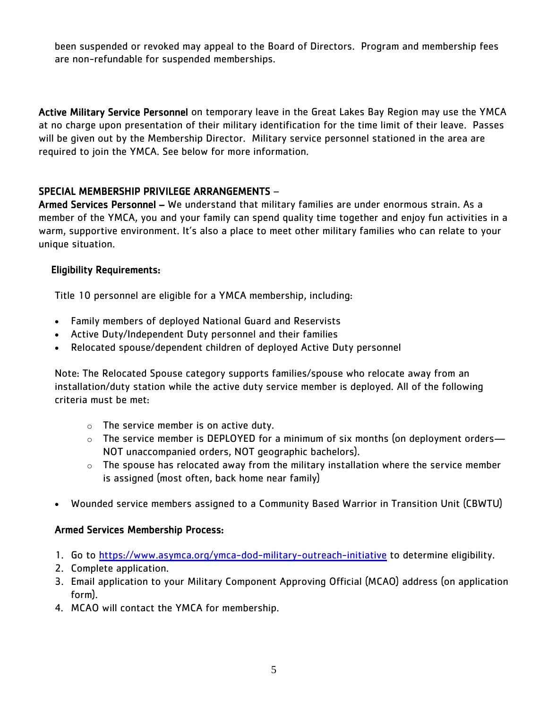been suspended or revoked may appeal to the Board of Directors. Program and membership fees are non-refundable for suspended memberships.

Active Military Service Personnel on temporary leave in the Great Lakes Bay Region may use the YMCA at no charge upon presentation of their military identification for the time limit of their leave. Passes will be given out by the Membership Director. Military service personnel stationed in the area are required to join the YMCA. See below for more information.

### SPECIAL MEMBERSHIP PRIVILEGE ARRANGEMENTS –

Armed Services Personnel – We understand that military families are under enormous strain. As a member of the YMCA, you and your family can spend quality time together and enjoy fun activities in a warm, supportive environment. It's also a place to meet other military families who can relate to your unique situation.

### Eligibility Requirements:

Title 10 personnel are eligible for a YMCA membership, including:

- Family members of deployed National Guard and Reservists
- Active Duty/Independent Duty personnel and their families
- Relocated spouse/dependent children of deployed Active Duty personnel

Note: The Relocated Spouse category supports families/spouse who relocate away from an installation/duty station while the active duty service member is deployed. All of the following criteria must be met:

- $\circ$  The service member is on active duty.
- $\circ$  The service member is DEPLOYED for a minimum of six months (on deployment orders— NOT unaccompanied orders, NOT geographic bachelors).
- $\circ$  The spouse has relocated away from the military installation where the service member is assigned (most often, back home near family)
- Wounded service members assigned to a Community Based Warrior in Transition Unit (CBWTU)

## Armed Services Membership Process:

- 1. Go to<https://www.asymca.org/ymca-dod-military-outreach-initiative> to determine eligibility.
- 2. Complete application.
- 3. Email application to your Military Component Approving Official (MCAO) address (on application form).
- 4. MCAO will contact the YMCA for membership.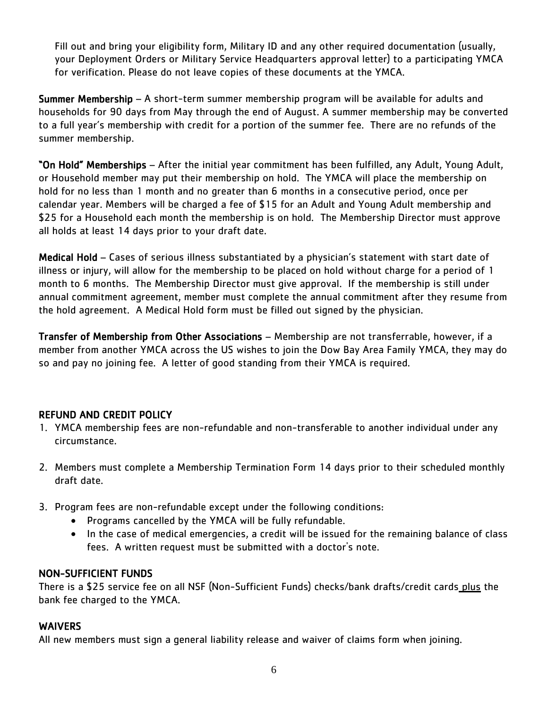Fill out and bring your eligibility form, Military ID and any other required documentation (usually, your Deployment Orders or Military Service Headquarters approval letter) to a participating YMCA for verification. Please do not leave copies of these documents at the YMCA.

Summer Membership – A short-term summer membership program will be available for adults and households for 90 days from May through the end of August. A summer membership may be converted to a full year's membership with credit for a portion of the summer fee. There are no refunds of the summer membership.

"On Hold" Memberships – After the initial year commitment has been fulfilled, any Adult, Young Adult, or Household member may put their membership on hold. The YMCA will place the membership on hold for no less than 1 month and no greater than 6 months in a consecutive period, once per calendar year. Members will be charged a fee of \$15 for an Adult and Young Adult membership and \$25 for a Household each month the membership is on hold. The Membership Director must approve all holds at least 14 days prior to your draft date.

Medical Hold – Cases of serious illness substantiated by a physician's statement with start date of illness or injury, will allow for the membership to be placed on hold without charge for a period of 1 month to 6 months. The Membership Director must give approval. If the membership is still under annual commitment agreement, member must complete the annual commitment after they resume from the hold agreement. A Medical Hold form must be filled out signed by the physician.

Transfer of Membership from Other Associations – Membership are not transferrable, however, if a member from another YMCA across the US wishes to join the Dow Bay Area Family YMCA, they may do so and pay no joining fee. A letter of good standing from their YMCA is required.

## REFUND AND CREDIT POLICY

- 1. YMCA membership fees are non-refundable and non-transferable to another individual under any circumstance.
- 2. Members must complete a Membership Termination Form 14 days prior to their scheduled monthly draft date.
- 3. Program fees are non-refundable except under the following conditions:
	- Programs cancelled by the YMCA will be fully refundable.
	- In the case of medical emergencies, a credit will be issued for the remaining balance of class fees. A written request must be submitted with a doctor's note.

## NON-SUFFICIENT FUNDS

There is a \$25 service fee on all NSF (Non-Sufficient Funds) checks/bank drafts/credit cards plus the bank fee charged to the YMCA.

### **WAIVERS**

All new members must sign a general liability release and waiver of claims form when joining.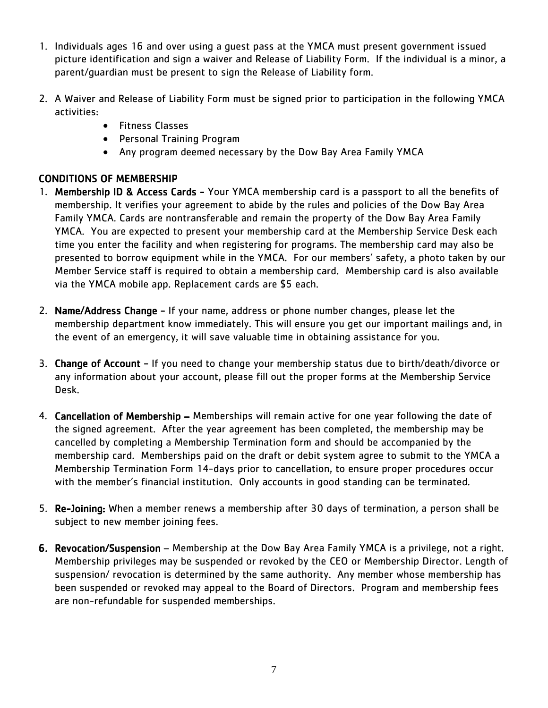- 1. Individuals ages 16 and over using a guest pass at the YMCA must present government issued picture identification and sign a waiver and Release of Liability Form. If the individual is a minor, a parent/guardian must be present to sign the Release of Liability form.
- 2. A Waiver and Release of Liability Form must be signed prior to participation in the following YMCA activities:
	- **•** Fitness Classes
	- Personal Training Program
	- Any program deemed necessary by the Dow Bay Area Family YMCA

# CONDITIONS OF MEMBERSHIP

- 1. Membership ID & Access Cards Your YMCA membership card is a passport to all the benefits of membership. It verifies your agreement to abide by the rules and policies of the Dow Bay Area Family YMCA. Cards are nontransferable and remain the property of the Dow Bay Area Family YMCA. You are expected to present your membership card at the Membership Service Desk each time you enter the facility and when registering for programs. The membership card may also be presented to borrow equipment while in the YMCA. For our members' safety, a photo taken by our Member Service staff is required to obtain a membership card. Membership card is also available via the YMCA mobile app. Replacement cards are \$5 each.
- 2. Name/Address Change If your name, address or phone number changes, please let the membership department know immediately. This will ensure you get our important mailings and, in the event of an emergency, it will save valuable time in obtaining assistance for you.
- 3. Change of Account If you need to change your membership status due to birth/death/divorce or any information about your account, please fill out the proper forms at the Membership Service Desk.
- 4. Cancellation of Membership Memberships will remain active for one year following the date of the signed agreement. After the year agreement has been completed, the membership may be cancelled by completing a Membership Termination form and should be accompanied by the membership card. Memberships paid on the draft or debit system agree to submit to the YMCA a Membership Termination Form 14-days prior to cancellation, to ensure proper procedures occur with the member's financial institution. Only accounts in good standing can be terminated.
- 5. Re-Joining: When a member renews a membership after 30 days of termination, a person shall be subject to new member joining fees.
- 6. Revocation/Suspension Membership at the Dow Bay Area Family YMCA is a privilege, not a right. Membership privileges may be suspended or revoked by the CEO or Membership Director. Length of suspension/ revocation is determined by the same authority. Any member whose membership has been suspended or revoked may appeal to the Board of Directors. Program and membership fees are non-refundable for suspended memberships.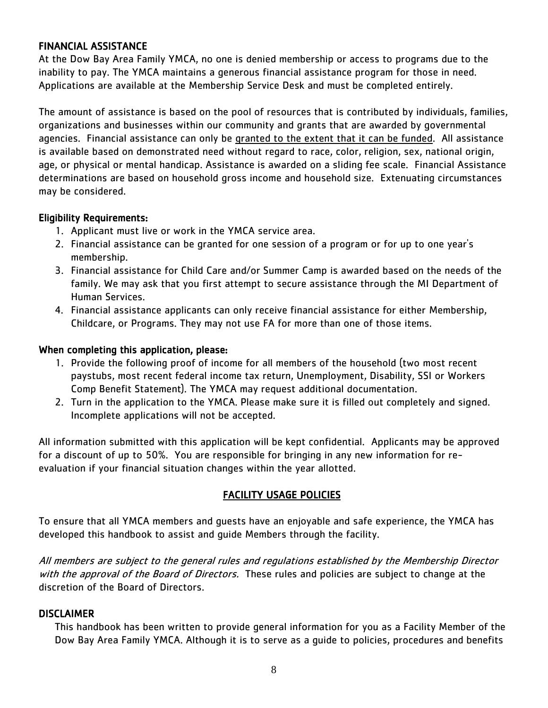#### FINANCIAL ASSISTANCE

At the Dow Bay Area Family YMCA, no one is denied membership or access to programs due to the inability to pay. The YMCA maintains a generous financial assistance program for those in need. Applications are available at the Membership Service Desk and must be completed entirely.

The amount of assistance is based on the pool of resources that is contributed by individuals, families, organizations and businesses within our community and grants that are awarded by governmental agencies. Financial assistance can only be granted to the extent that it can be funded. All assistance is available based on demonstrated need without regard to race, color, religion, sex, national origin, age, or physical or mental handicap. Assistance is awarded on a sliding fee scale. Financial Assistance determinations are based on household gross income and household size. Extenuating circumstances may be considered.

#### Eligibility Requirements:

- 1. Applicant must live or work in the YMCA service area.
- 2. Financial assistance can be granted for one session of a program or for up to one year's membership.
- 3. Financial assistance for Child Care and/or Summer Camp is awarded based on the needs of the family. We may ask that you first attempt to secure assistance through the MI Department of Human Services.
- 4. Financial assistance applicants can only receive financial assistance for either Membership, Childcare, or Programs. They may not use FA for more than one of those items.

#### When completing this application, please:

- 1. Provide the following proof of income for all members of the household (two most recent paystubs, most recent federal income tax return, Unemployment, Disability, SSI or Workers Comp Benefit Statement). The YMCA may request additional documentation.
- 2. Turn in the application to the YMCA. Please make sure it is filled out completely and signed. Incomplete applications will not be accepted.

All information submitted with this application will be kept confidential. Applicants may be approved for a discount of up to 50%. You are responsible for bringing in any new information for reevaluation if your financial situation changes within the year allotted.

### FACILITY USAGE POLICIES

To ensure that all YMCA members and guests have an enjoyable and safe experience, the YMCA has developed this handbook to assist and guide Members through the facility.

All members are subject to the general rules and regulations established by the Membership Director with the approval of the Board of Directors. These rules and policies are subject to change at the discretion of the Board of Directors.

### DISCLAIMER

This handbook has been written to provide general information for you as a Facility Member of the Dow Bay Area Family YMCA. Although it is to serve as a guide to policies, procedures and benefits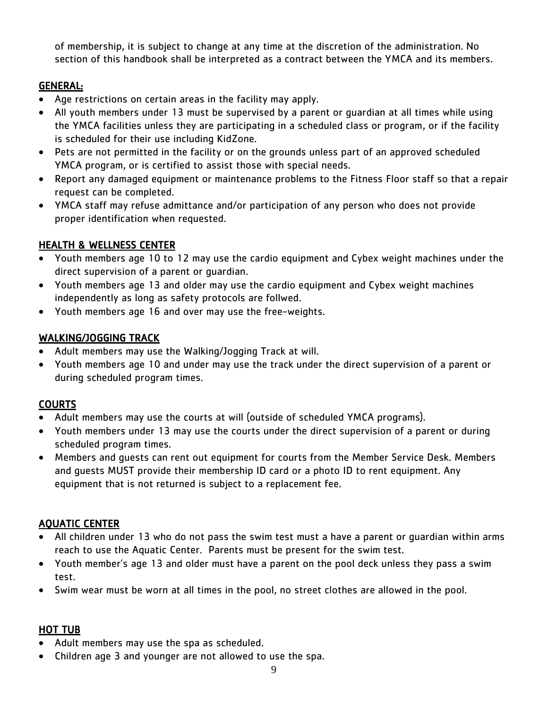of membership, it is subject to change at any time at the discretion of the administration. No section of this handbook shall be interpreted as a contract between the YMCA and its members.

# GENERAL:

- Age restrictions on certain areas in the facility may apply.
- All youth members under 13 must be supervised by a parent or guardian at all times while using the YMCA facilities unless they are participating in a scheduled class or program, or if the facility is scheduled for their use including KidZone.
- Pets are not permitted in the facility or on the grounds unless part of an approved scheduled YMCA program, or is certified to assist those with special needs.
- Report any damaged equipment or maintenance problems to the Fitness Floor staff so that a repair request can be completed.
- YMCA staff may refuse admittance and/or participation of any person who does not provide proper identification when requested.

# HEALTH & WELLNESS CENTER

- Youth members age 10 to 12 may use the cardio equipment and Cybex weight machines under the direct supervision of a parent or guardian.
- Youth members age 13 and older may use the cardio equipment and Cybex weight machines independently as long as safety protocols are follwed.
- Youth members age 16 and over may use the free-weights.

# WALKING/JOGGING TRACK

- Adult members may use the Walking/Jogging Track at will.
- Youth members age 10 and under may use the track under the direct supervision of a parent or during scheduled program times.

# COURTS

- Adult members may use the courts at will (outside of scheduled YMCA programs).
- Youth members under 13 may use the courts under the direct supervision of a parent or during scheduled program times.
- Members and guests can rent out equipment for courts from the Member Service Desk. Members and guests MUST provide their membership ID card or a photo ID to rent equipment. Any equipment that is not returned is subject to a replacement fee.

# AQUATIC CENTER

- All children under 13 who do not pass the swim test must a have a parent or guardian within arms reach to use the Aquatic Center. Parents must be present for the swim test.
- Youth member's age 13 and older must have a parent on the pool deck unless they pass a swim test.
- Swim wear must be worn at all times in the pool, no street clothes are allowed in the pool.

## HOT TUB

- Adult members may use the spa as scheduled.
- Children age 3 and younger are not allowed to use the spa.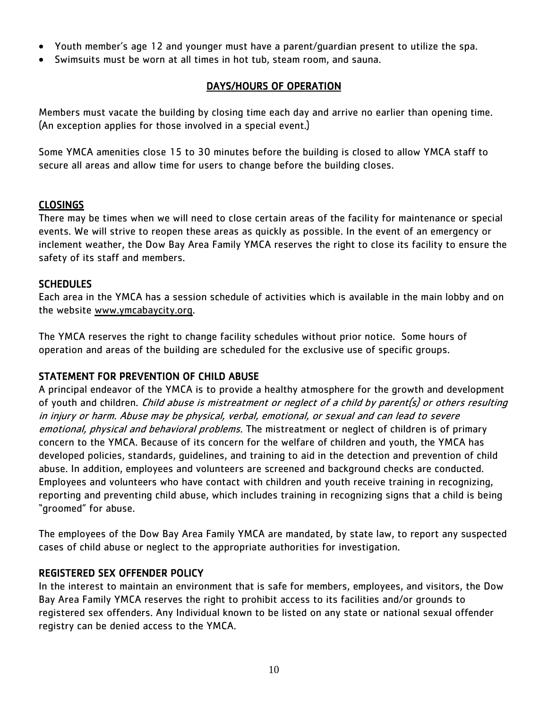- Youth member's age 12 and younger must have a parent/guardian present to utilize the spa.
- Swimsuits must be worn at all times in hot tub, steam room, and sauna.

## DAYS/HOURS OF OPERATION

Members must vacate the building by closing time each day and arrive no earlier than opening time. (An exception applies for those involved in a special event.)

Some YMCA amenities close 15 to 30 minutes before the building is closed to allow YMCA staff to secure all areas and allow time for users to change before the building closes.

## CLOSINGS

There may be times when we will need to close certain areas of the facility for maintenance or special events. We will strive to reopen these areas as quickly as possible. In the event of an emergency or inclement weather, the Dow Bay Area Family YMCA reserves the right to close its facility to ensure the safety of its staff and members.

## SCHEDULES

Each area in the YMCA has a session schedule of activities which is available in the main lobby and on the website [www.ymcabaycity.org.](http://www.ymcabaycity.org/)

The YMCA reserves the right to change facility schedules without prior notice. Some hours of operation and areas of the building are scheduled for the exclusive use of specific groups.

## STATEMENT FOR PREVENTION OF CHILD ABUSE

A principal endeavor of the YMCA is to provide a healthy atmosphere for the growth and development of youth and children. Child abuse is mistreatment or neglect of a child by parent(s) or others resulting in injury or harm. Abuse may be physical, verbal, emotional, or sexual and can lead to severe emotional, physical and behavioral problems. The mistreatment or neglect of children is of primary concern to the YMCA. Because of its concern for the welfare of children and youth, the YMCA has developed policies, standards, guidelines, and training to aid in the detection and prevention of child abuse. In addition, employees and volunteers are screened and background checks are conducted. Employees and volunteers who have contact with children and youth receive training in recognizing, reporting and preventing child abuse, which includes training in recognizing signs that a child is being "groomed" for abuse.

The employees of the Dow Bay Area Family YMCA are mandated, by state law, to report any suspected cases of child abuse or neglect to the appropriate authorities for investigation.

## REGISTERED SEX OFFENDER POLICY

In the interest to maintain an environment that is safe for members, employees, and visitors, the Dow Bay Area Family YMCA reserves the right to prohibit access to its facilities and/or grounds to registered sex offenders. Any Individual known to be listed on any state or national sexual offender registry can be denied access to the YMCA.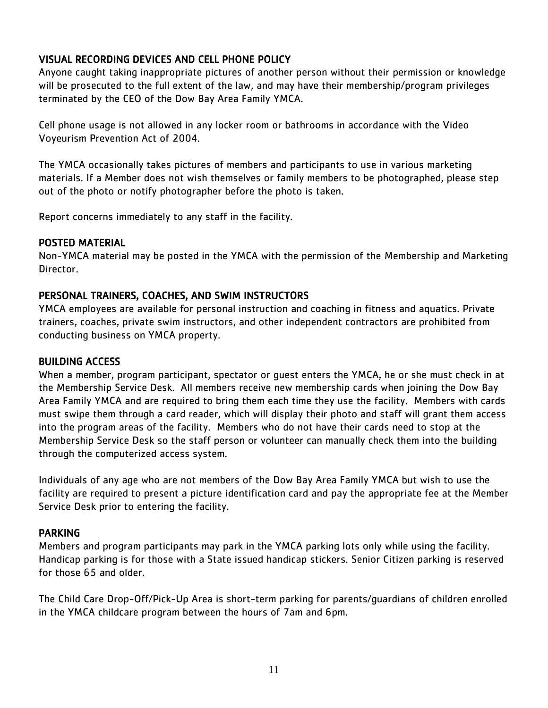# VISUAL RECORDING DEVICES AND CELL PHONE POLICY

Anyone caught taking inappropriate pictures of another person without their permission or knowledge will be prosecuted to the full extent of the law, and may have their membership/program privileges terminated by the CEO of the Dow Bay Area Family YMCA.

Cell phone usage is not allowed in any locker room or bathrooms in accordance with the Video Voyeurism Prevention Act of 2004.

The YMCA occasionally takes pictures of members and participants to use in various marketing materials. If a Member does not wish themselves or family members to be photographed, please step out of the photo or notify photographer before the photo is taken.

Report concerns immediately to any staff in the facility.

### POSTED MATERIAL

Non-YMCA material may be posted in the YMCA with the permission of the Membership and Marketing Director.

### PERSONAL TRAINERS, COACHES, AND SWIM INSTRUCTORS

YMCA employees are available for personal instruction and coaching in fitness and aquatics. Private trainers, coaches, private swim instructors, and other independent contractors are prohibited from conducting business on YMCA property.

### BUILDING ACCESS

When a member, program participant, spectator or guest enters the YMCA, he or she must check in at the Membership Service Desk. All members receive new membership cards when joining the Dow Bay Area Family YMCA and are required to bring them each time they use the facility. Members with cards must swipe them through a card reader, which will display their photo and staff will grant them access into the program areas of the facility. Members who do not have their cards need to stop at the Membership Service Desk so the staff person or volunteer can manually check them into the building through the computerized access system.

Individuals of any age who are not members of the Dow Bay Area Family YMCA but wish to use the facility are required to present a picture identification card and pay the appropriate fee at the Member Service Desk prior to entering the facility.

### PARKING

Members and program participants may park in the YMCA parking lots only while using the facility. Handicap parking is for those with a State issued handicap stickers. Senior Citizen parking is reserved for those 65 and older.

The Child Care Drop-Off/Pick-Up Area is short-term parking for parents/guardians of children enrolled in the YMCA childcare program between the hours of 7am and 6pm.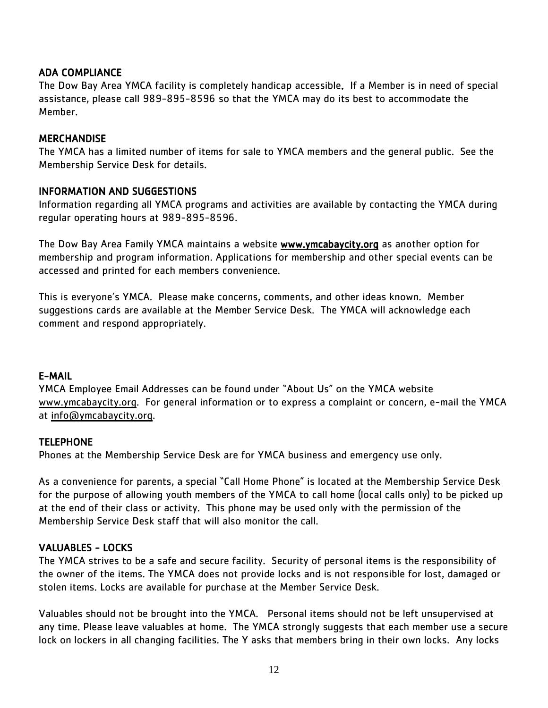## ADA COMPLIANCE

The Dow Bay Area YMCA facility is completely handicap accessible. If a Member is in need of special assistance, please call 989-895-8596 so that the YMCA may do its best to accommodate the Member.

#### **MERCHANDISE**

The YMCA has a limited number of items for sale to YMCA members and the general public. See the Membership Service Desk for details.

#### INFORMATION AND SUGGESTIONS

Information regarding all YMCA programs and activities are available by contacting the YMCA during regular operating hours at 989-895-8596.

The Dow Bay Area Family YMCA maintains a website **www.ymcabaycity.org** as another option for membership and program information. Applications for membership and other special events can be accessed and printed for each members convenience.

This is everyone's YMCA. Please make concerns, comments, and other ideas known. Member suggestions cards are available at the Member Service Desk. The YMCA will acknowledge each comment and respond appropriately.

#### E-MAIL

YMCA Employee Email Addresses can be found under "About Us" on the YMCA website [www.ymcabaycity.org.](http://www.ymcabaycity.org/) For general information or to express a complaint or concern, e-mail the YMCA at [info@ymcabaycity.org.](mailto:info@ymcabaycity.org)

### **TELEPHONE**

Phones at the Membership Service Desk are for YMCA business and emergency use only.

As a convenience for parents, a special "Call Home Phone" is located at the Membership Service Desk for the purpose of allowing youth members of the YMCA to call home (local calls only) to be picked up at the end of their class or activity. This phone may be used only with the permission of the Membership Service Desk staff that will also monitor the call.

### VALUABLES - LOCKS

The YMCA strives to be a safe and secure facility. Security of personal items is the responsibility of the owner of the items. The YMCA does not provide locks and is not responsible for lost, damaged or stolen items. Locks are available for purchase at the Member Service Desk.

Valuables should not be brought into the YMCA. Personal items should not be left unsupervised at any time. Please leave valuables at home. The YMCA strongly suggests that each member use a secure lock on lockers in all changing facilities. The Y asks that members bring in their own locks. Any locks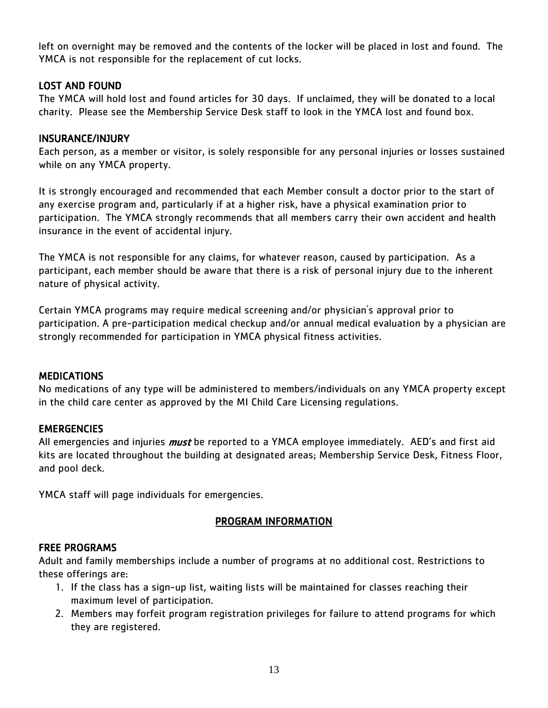left on overnight may be removed and the contents of the locker will be placed in lost and found. The YMCA is not responsible for the replacement of cut locks.

### LOST AND FOUND

The YMCA will hold lost and found articles for 30 days. If unclaimed, they will be donated to a local charity. Please see the Membership Service Desk staff to look in the YMCA lost and found box.

### INSURANCE/INJURY

Each person, as a member or visitor, is solely responsible for any personal injuries or losses sustained while on any YMCA property.

It is strongly encouraged and recommended that each Member consult a doctor prior to the start of any exercise program and, particularly if at a higher risk, have a physical examination prior to participation. The YMCA strongly recommends that all members carry their own accident and health insurance in the event of accidental injury.

The YMCA is not responsible for any claims, for whatever reason, caused by participation. As a participant, each member should be aware that there is a risk of personal injury due to the inherent nature of physical activity.

Certain YMCA programs may require medical screening and/or physician's approval prior to participation. A pre-participation medical checkup and/or annual medical evaluation by a physician are strongly recommended for participation in YMCA physical fitness activities.

## MEDICATIONS

No medications of any type will be administered to members/individuals on any YMCA property except in the child care center as approved by the MI Child Care Licensing regulations.

## **EMERGENCIES**

All emergencies and injuries *must* be reported to a YMCA employee immediately. AED's and first aid kits are located throughout the building at designated areas; Membership Service Desk, Fitness Floor, and pool deck.

YMCA staff will page individuals for emergencies.

## PROGRAM INFORMATION

### FREE PROGRAMS

Adult and family memberships include a number of programs at no additional cost. Restrictions to these offerings are:

- 1. If the class has a sign-up list, waiting lists will be maintained for classes reaching their maximum level of participation.
- 2. Members may forfeit program registration privileges for failure to attend programs for which they are registered.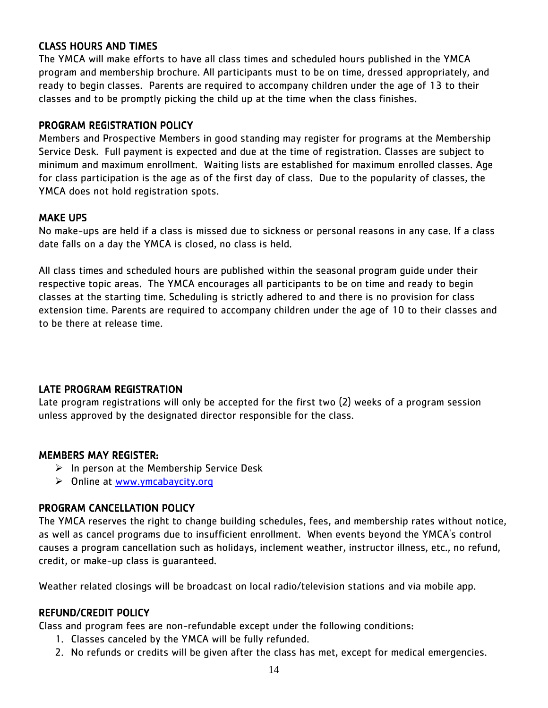### CLASS HOURS AND TIMES

The YMCA will make efforts to have all class times and scheduled hours published in the YMCA program and membership brochure. All participants must to be on time, dressed appropriately, and ready to begin classes. Parents are required to accompany children under the age of 13 to their classes and to be promptly picking the child up at the time when the class finishes.

#### PROGRAM REGISTRATION POLICY

Members and Prospective Members in good standing may register for programs at the Membership Service Desk. Full payment is expected and due at the time of registration. Classes are subject to minimum and maximum enrollment. Waiting lists are established for maximum enrolled classes. Age for class participation is the age as of the first day of class. Due to the popularity of classes, the YMCA does not hold registration spots.

#### MAKE UPS

No make-ups are held if a class is missed due to sickness or personal reasons in any case. If a class date falls on a day the YMCA is closed, no class is held.

All class times and scheduled hours are published within the seasonal program guide under their respective topic areas. The YMCA encourages all participants to be on time and ready to begin classes at the starting time. Scheduling is strictly adhered to and there is no provision for class extension time. Parents are required to accompany children under the age of 10 to their classes and to be there at release time.

### LATE PROGRAM REGISTRATION

Late program registrations will only be accepted for the first two (2) weeks of a program session unless approved by the designated director responsible for the class.

### MEMBERS MAY REGISTER:

- $\triangleright$  In person at the Membership Service Desk
- > Online at [www.ymcabaycity.org](http://www.ymcabaycity.org/)

### PROGRAM CANCELLATION POLICY

The YMCA reserves the right to change building schedules, fees, and membership rates without notice, as well as cancel programs due to insufficient enrollment. When events beyond the YMCA's control causes a program cancellation such as holidays, inclement weather, instructor illness, etc., no refund, credit, or make-up class is guaranteed.

Weather related closings will be broadcast on local radio/television stations and via mobile app.

### REFUND/CREDIT POLICY

Class and program fees are non-refundable except under the following conditions:

- 1. Classes canceled by the YMCA will be fully refunded.
- 2. No refunds or credits will be given after the class has met, except for medical emergencies.